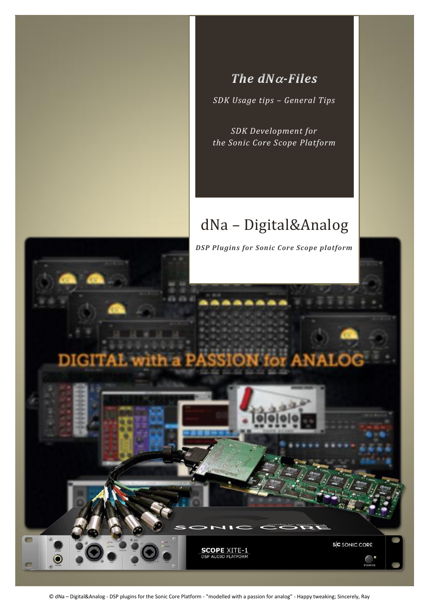

## The  $dN\alpha$ -Files

*SDK Usage tips – General Tips*

*SDK Development for the Sonic Core Scope Platform*

# dNa – Digital&Analog



© dNa – Digital&Analog - DSP plugins for the Sonic Core Platform - "modelled with a passion for analog" - Happy tweaking; Sincerely, Ray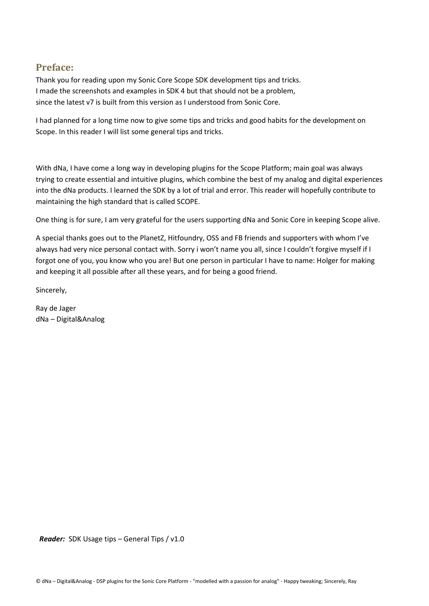## **Preface:**

Thank you for reading upon my Sonic Core Scope SDK development tips and tricks. I made the screenshots and examples in SDK 4 but that should not be a problem, since the latest v7 is built from this version as I understood from Sonic Core.

I had planned for a long time now to give some tips and tricks and good habits for the development on Scope. In this reader I will list some general tips and tricks.

With dNa, I have come a long way in developing plugins for the Scope Platform; main goal was always trying to create essential and intuitive plugins, which combine the best of my analog and digital experiences into the dNa products. I learned the SDK by a lot of trial and error. This reader will hopefully contribute to maintaining the high standard that is called SCOPE.

One thing is for sure, I am very grateful for the users supporting dNa and Sonic Core in keeping Scope alive.

A special thanks goes out to the PlanetZ, Hitfoundry, OSS and FB friends and supporters with whom I've always had very nice personal contact with. Sorry i won't name you all, since I couldn't forgive myself if I forgot one of you, you know who you are! But one person in particular I have to name: Holger for making and keeping it all possible after all these years, and for being a good friend.

Sincerely,

Ray de Jager dNa – Digital&Analog

 *Reader:* SDK Usage tips – General Tips / v1.0